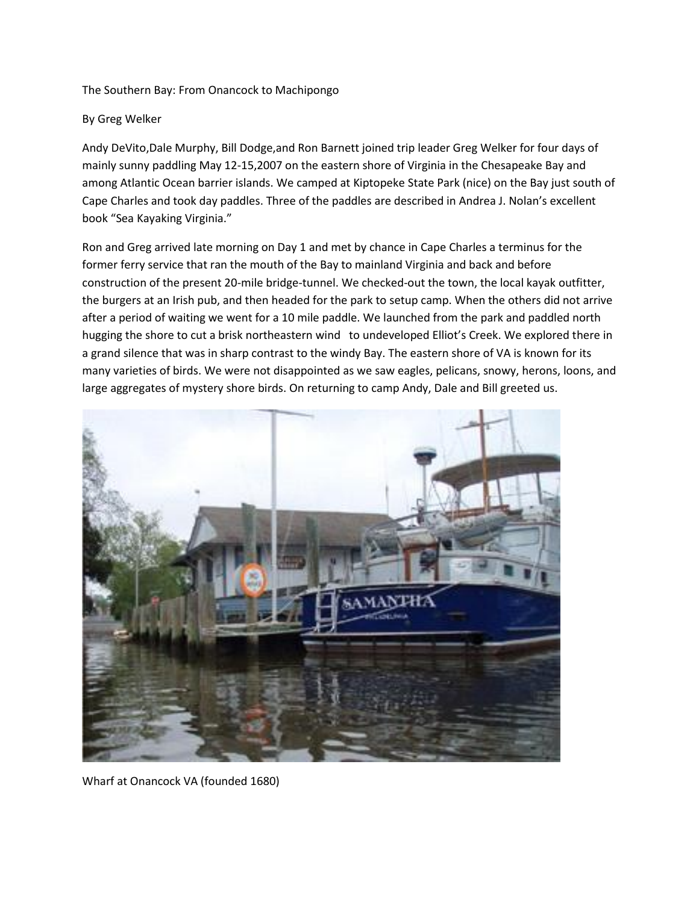The Southern Bay: From Onancock to Machipongo

## By Greg Welker

Andy DeVito,Dale Murphy, Bill Dodge,and Ron Barnett joined trip leader Greg Welker for four days of mainly sunny paddling May 12-15,2007 on the eastern shore of Virginia in the Chesapeake Bay and among Atlantic Ocean barrier islands. We camped at Kiptopeke State Park (nice) on the Bay just south of Cape Charles and took day paddles. Three of the paddles are described in Andrea J. Nolan's excellent book "Sea Kayaking Virginia."

Ron and Greg arrived late morning on Day 1 and met by chance in Cape Charles a terminus for the former ferry service that ran the mouth of the Bay to mainland Virginia and back and before construction of the present 20-mile bridge-tunnel. We checked-out the town, the local kayak outfitter, the burgers at an Irish pub, and then headed for the park to setup camp. When the others did not arrive after a period of waiting we went for a 10 mile paddle. We launched from the park and paddled north hugging the shore to cut a brisk northeastern wind to undeveloped Elliot's Creek. We explored there in a grand silence that was in sharp contrast to the windy Bay. The eastern shore of VA is known for its many varieties of birds. We were not disappointed as we saw eagles, pelicans, snowy, herons, loons, and large aggregates of mystery shore birds. On returning to camp Andy, Dale and Bill greeted us.



Wharf at Onancock VA (founded 1680)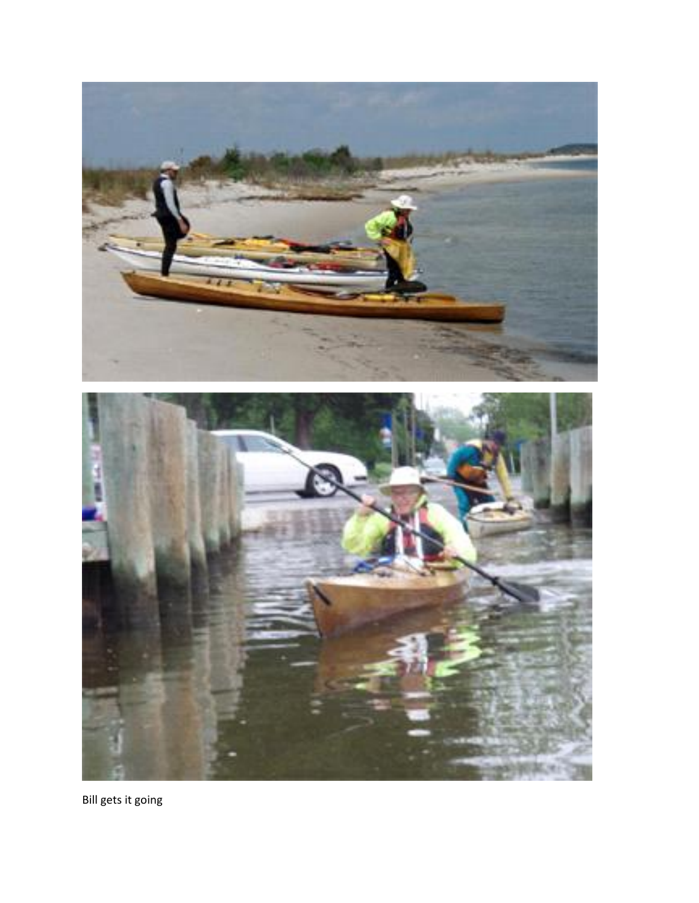

Bill gets it going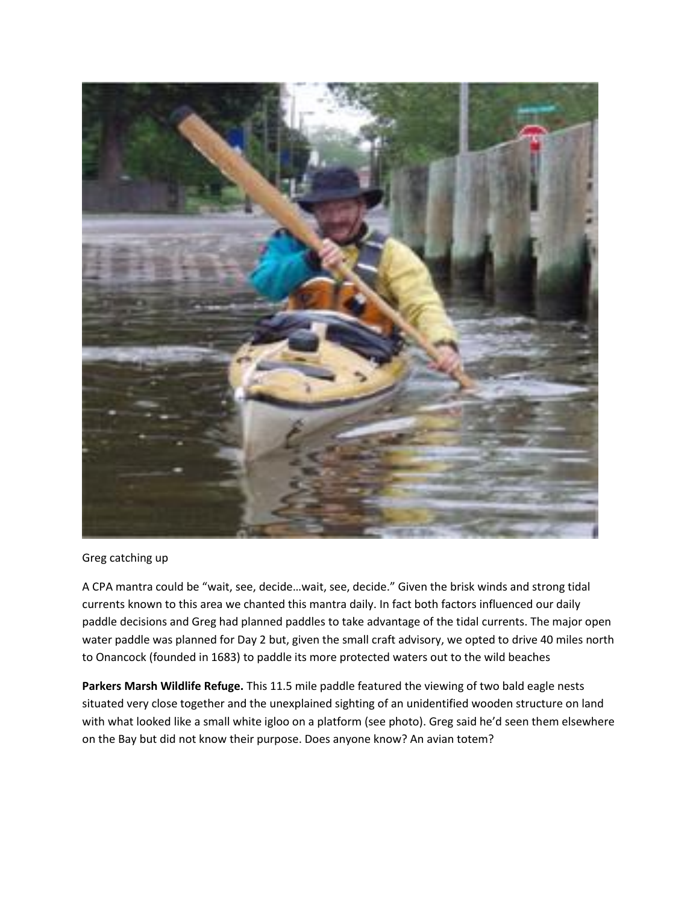

## Greg catching up

A CPA mantra could be "wait, see, decide…wait, see, decide." Given the brisk winds and strong tidal currents known to this area we chanted this mantra daily. In fact both factors influenced our daily paddle decisions and Greg had planned paddles to take advantage of the tidal currents. The major open water paddle was planned for Day 2 but, given the small craft advisory, we opted to drive 40 miles north to Onancock (founded in 1683) to paddle its more protected waters out to the wild beaches

**Parkers Marsh Wildlife Refuge.** This 11.5 mile paddle featured the viewing of two bald eagle nests situated very close together and the unexplained sighting of an unidentified wooden structure on land with what looked like a small white igloo on a platform (see photo). Greg said he'd seen them elsewhere on the Bay but did not know their purpose. Does anyone know? An avian totem?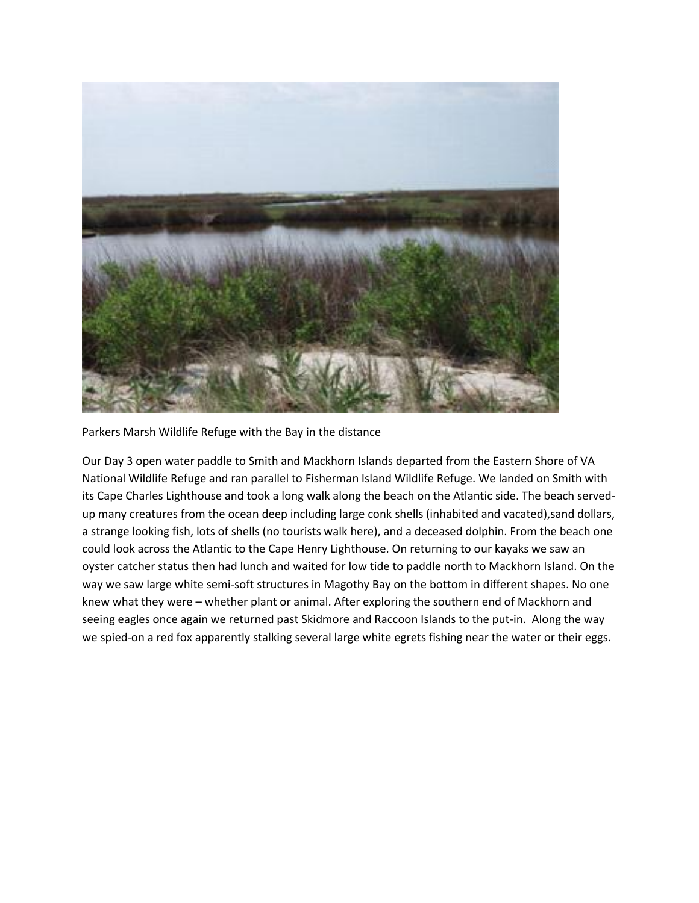

Parkers Marsh Wildlife Refuge with the Bay in the distance

Our Day 3 open water paddle to Smith and Mackhorn Islands departed from the Eastern Shore of VA National Wildlife Refuge and ran parallel to Fisherman Island Wildlife Refuge. We landed on Smith with its Cape Charles Lighthouse and took a long walk along the beach on the Atlantic side. The beach servedup many creatures from the ocean deep including large conk shells (inhabited and vacated),sand dollars, a strange looking fish, lots of shells (no tourists walk here), and a deceased dolphin. From the beach one could look across the Atlantic to the Cape Henry Lighthouse. On returning to our kayaks we saw an oyster catcher status then had lunch and waited for low tide to paddle north to Mackhorn Island. On the way we saw large white semi-soft structures in Magothy Bay on the bottom in different shapes. No one knew what they were – whether plant or animal. After exploring the southern end of Mackhorn and seeing eagles once again we returned past Skidmore and Raccoon Islands to the put-in. Along the way we spied-on a red fox apparently stalking several large white egrets fishing near the water or their eggs.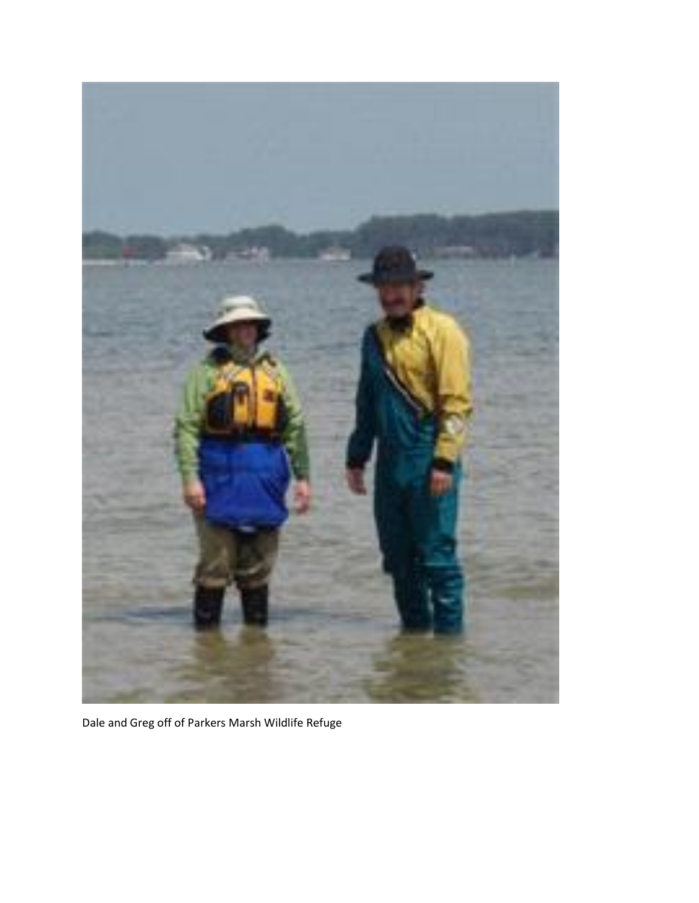

Dale and Greg off of Parkers Marsh Wildlife Refuge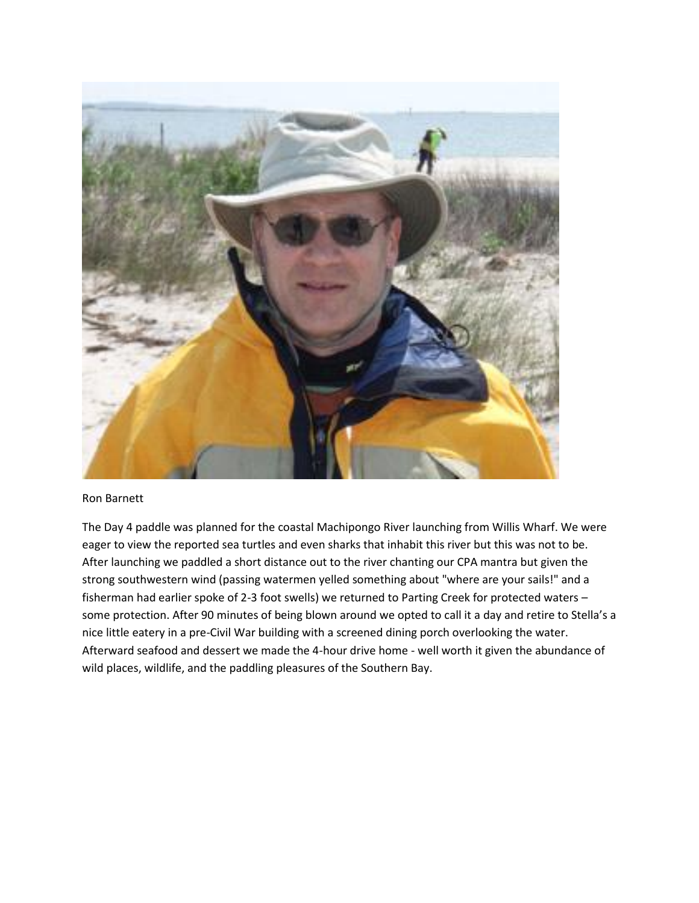

## Ron Barnett

The Day 4 paddle was planned for the coastal Machipongo River launching from Willis Wharf. We were eager to view the reported sea turtles and even sharks that inhabit this river but this was not to be. After launching we paddled a short distance out to the river chanting our CPA mantra but given the strong southwestern wind (passing watermen yelled something about "where are your sails!" and a fisherman had earlier spoke of 2-3 foot swells) we returned to Parting Creek for protected waters – some protection. After 90 minutes of being blown around we opted to call it a day and retire to Stella's a nice little eatery in a pre-Civil War building with a screened dining porch overlooking the water. Afterward seafood and dessert we made the 4-hour drive home - well worth it given the abundance of wild places, wildlife, and the paddling pleasures of the Southern Bay.